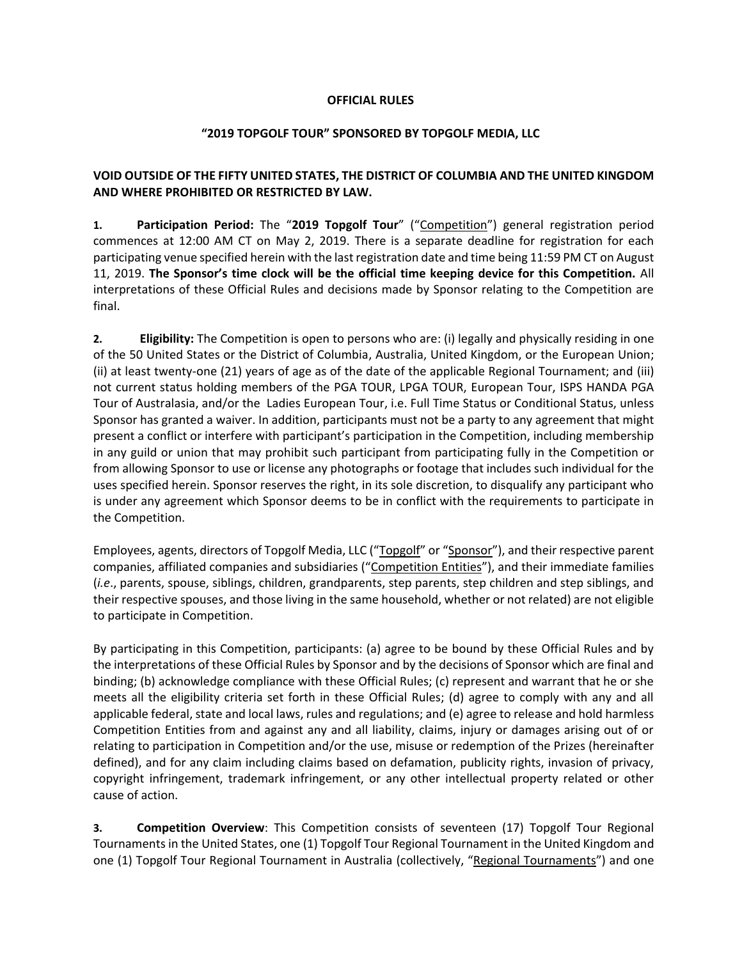# **OFFICIAL RULES**

### **"2019 TOPGOLF TOUR" SPONSORED BY TOPGOLF MEDIA, LLC**

# **VOID OUTSIDE OF THE FIFTY UNITED STATES, THE DISTRICT OF COLUMBIA AND THE UNITED KINGDOM AND WHERE PROHIBITED OR RESTRICTED BY LAW.**

**1. Participation Period:** The "**2019 Topgolf Tour**" ("Competition") general registration period commences at 12:00 AM CT on May 2, 2019. There is a separate deadline for registration for each participating venue specified herein with the last registration date and time being 11:59 PM CT on August 11, 2019. **The Sponsor's time clock will be the official time keeping device for this Competition.** All interpretations of these Official Rules and decisions made by Sponsor relating to the Competition are final.

**2. Eligibility:** The Competition is open to persons who are: (i) legally and physically residing in one of the 50 United States or the District of Columbia, Australia, United Kingdom, or the European Union; (ii) at least twenty-one (21) years of age as of the date of the applicable Regional Tournament; and (iii) not current status holding members of the PGA TOUR, LPGA TOUR, European Tour, ISPS HANDA PGA Tour of Australasia, and/or the Ladies European Tour, i.e. Full Time Status or Conditional Status, unless Sponsor has granted a waiver. In addition, participants must not be a party to any agreement that might present a conflict or interfere with participant's participation in the Competition, including membership in any guild or union that may prohibit such participant from participating fully in the Competition or from allowing Sponsor to use or license any photographs or footage that includes such individual for the uses specified herein. Sponsor reserves the right, in its sole discretion, to disqualify any participant who is under any agreement which Sponsor deems to be in conflict with the requirements to participate in the Competition.

Employees, agents, directors of Topgolf Media, LLC ("Topgolf" or "Sponsor"), and their respective parent companies, affiliated companies and subsidiaries ("Competition Entities"), and their immediate families (*i.e*., parents, spouse, siblings, children, grandparents, step parents, step children and step siblings, and their respective spouses, and those living in the same household, whether or not related) are not eligible to participate in Competition.

By participating in this Competition, participants: (a) agree to be bound by these Official Rules and by the interpretations of these Official Rules by Sponsor and by the decisions of Sponsor which are final and binding; (b) acknowledge compliance with these Official Rules; (c) represent and warrant that he or she meets all the eligibility criteria set forth in these Official Rules; (d) agree to comply with any and all applicable federal, state and local laws, rules and regulations; and (e) agree to release and hold harmless Competition Entities from and against any and all liability, claims, injury or damages arising out of or relating to participation in Competition and/or the use, misuse or redemption of the Prizes (hereinafter defined), and for any claim including claims based on defamation, publicity rights, invasion of privacy, copyright infringement, trademark infringement, or any other intellectual property related or other cause of action.

**3. Competition Overview**: This Competition consists of seventeen (17) Topgolf Tour Regional Tournaments in the United States, one (1) Topgolf Tour Regional Tournament in the United Kingdom and one (1) Topgolf Tour Regional Tournament in Australia (collectively, "Regional Tournaments") and one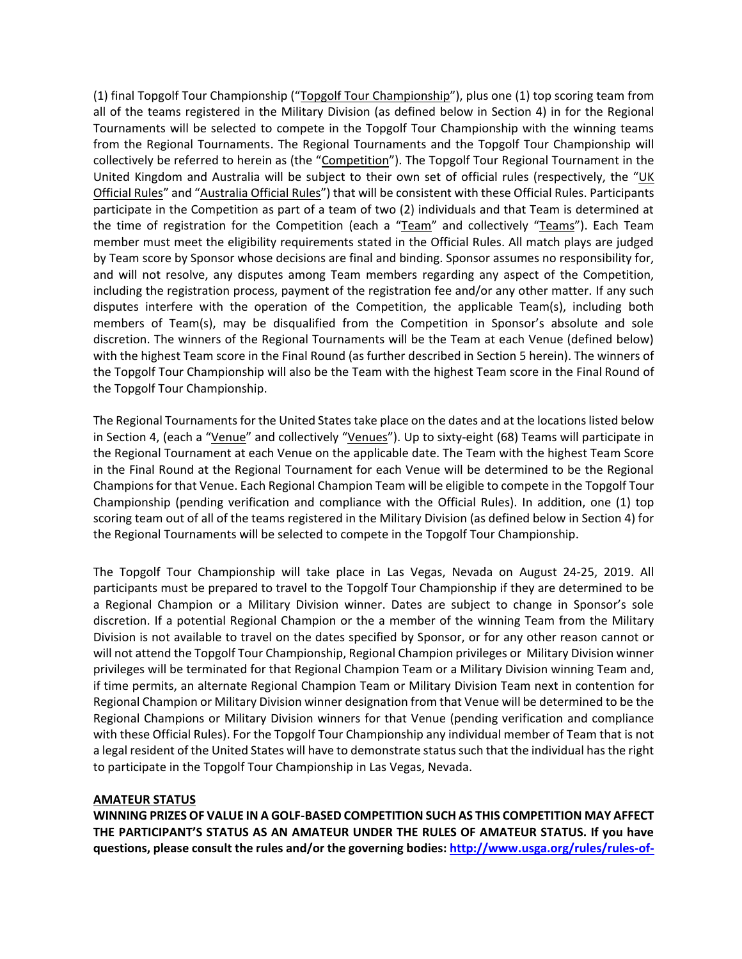(1) final Topgolf Tour Championship ("Topgolf Tour Championship"), plus one (1) top scoring team from all of the teams registered in the Military Division (as defined below in Section 4) in for the Regional Tournaments will be selected to compete in the Topgolf Tour Championship with the winning teams from the Regional Tournaments. The Regional Tournaments and the Topgolf Tour Championship will collectively be referred to herein as (the "Competition"). The Topgolf Tour Regional Tournament in the United Kingdom and Australia will be subject to their own set of official rules (respectively, the "UK Official Rules" and "Australia Official Rules") that will be consistent with these Official Rules. Participants participate in the Competition as part of a team of two (2) individuals and that Team is determined at the time of registration for the Competition (each a "Team" and collectively "Teams"). Each Team member must meet the eligibility requirements stated in the Official Rules. All match plays are judged by Team score by Sponsor whose decisions are final and binding. Sponsor assumes no responsibility for, and will not resolve, any disputes among Team members regarding any aspect of the Competition, including the registration process, payment of the registration fee and/or any other matter. If any such disputes interfere with the operation of the Competition, the applicable Team(s), including both members of Team(s), may be disqualified from the Competition in Sponsor's absolute and sole discretion. The winners of the Regional Tournaments will be the Team at each Venue (defined below) with the highest Team score in the Final Round (as further described in Section 5 herein). The winners of the Topgolf Tour Championship will also be the Team with the highest Team score in the Final Round of the Topgolf Tour Championship.

The Regional Tournaments for the United States take place on the dates and at the locations listed below in Section 4, (each a "Venue" and collectively "Venues"). Up to sixty-eight (68) Teams will participate in the Regional Tournament at each Venue on the applicable date. The Team with the highest Team Score in the Final Round at the Regional Tournament for each Venue will be determined to be the Regional Champions for that Venue. Each Regional Champion Team will be eligible to compete in the Topgolf Tour Championship (pending verification and compliance with the Official Rules). In addition, one (1) top scoring team out of all of the teams registered in the Military Division (as defined below in Section 4) for the Regional Tournaments will be selected to compete in the Topgolf Tour Championship.

The Topgolf Tour Championship will take place in Las Vegas, Nevada on August 24-25, 2019. All participants must be prepared to travel to the Topgolf Tour Championship if they are determined to be a Regional Champion or a Military Division winner. Dates are subject to change in Sponsor's sole discretion. If a potential Regional Champion or the a member of the winning Team from the Military Division is not available to travel on the dates specified by Sponsor, or for any other reason cannot or will not attend the Topgolf Tour Championship, Regional Champion privileges or Military Division winner privileges will be terminated for that Regional Champion Team or a Military Division winning Team and, if time permits, an alternate Regional Champion Team or Military Division Team next in contention for Regional Champion or Military Division winner designation from that Venue will be determined to be the Regional Champions or Military Division winners for that Venue (pending verification and compliance with these Official Rules). For the Topgolf Tour Championship any individual member of Team that is not a legal resident of the United States will have to demonstrate status such that the individual has the right to participate in the Topgolf Tour Championship in Las Vegas, Nevada.

#### **AMATEUR STATUS**

**WINNING PRIZES OF VALUE IN A GOLF-BASED COMPETITION SUCH AS THIS COMPETITION MAY AFFECT THE PARTICIPANT'S STATUS AS AN AMATEUR UNDER THE RULES OF AMATEUR STATUS. If you have questions, please consult the rules and/or the governing bodies: [http://www.usga.org/rules/rules-of-](http://www.usga.org/rules/rules-of-amateur-status.html)**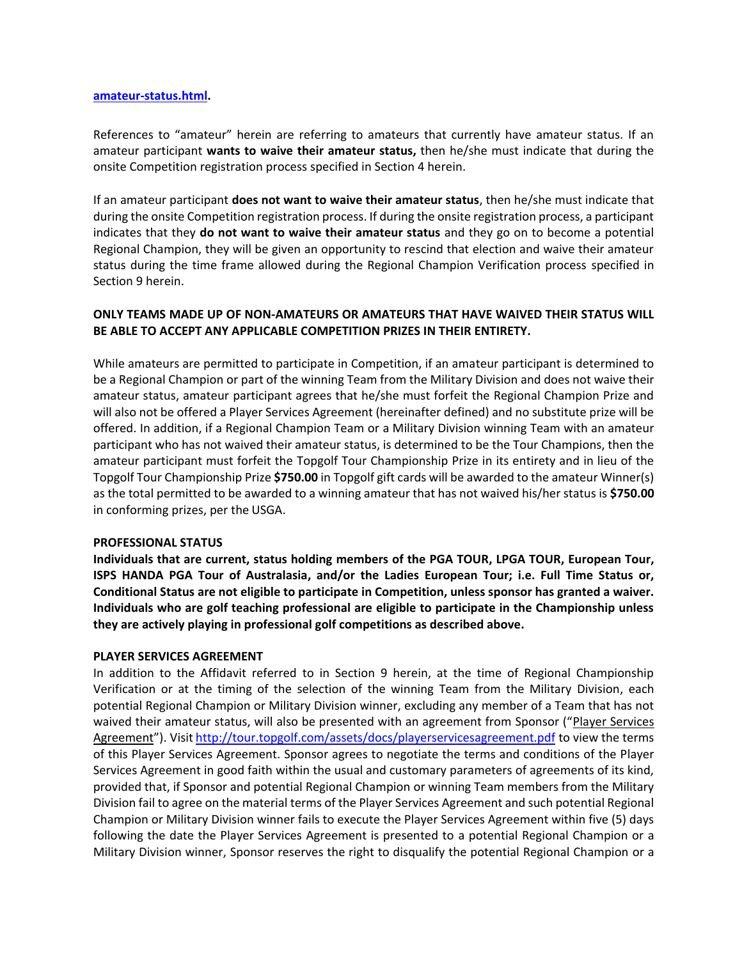#### **[amateur-status.html.](http://www.usga.org/rules/rules-of-amateur-status.html)**

References to "amateur" herein are referring to amateurs that currently have amateur status. If an amateur participant **wants to waive their amateur status,** then he/she must indicate that during the onsite Competition registration process specified in Section 4 herein.

If an amateur participant **does not want to waive their amateur status**, then he/she must indicate that during the onsite Competition registration process. If during the onsite registration process, a participant indicates that they **do not want to waive their amateur status** and they go on to become a potential Regional Champion, they will be given an opportunity to rescind that election and waive their amateur status during the time frame allowed during the Regional Champion Verification process specified in Section 9 herein.

# **ONLY TEAMS MADE UP OF NON-AMATEURS OR AMATEURS THAT HAVE WAIVED THEIR STATUS WILL BE ABLE TO ACCEPT ANY APPLICABLE COMPETITION PRIZES IN THEIR ENTIRETY.**

While amateurs are permitted to participate in Competition, if an amateur participant is determined to be a Regional Champion or part of the winning Team from the Military Division and does not waive their amateur status, amateur participant agrees that he/she must forfeit the Regional Champion Prize and will also not be offered a Player Services Agreement (hereinafter defined) and no substitute prize will be offered. In addition, if a Regional Champion Team or a Military Division winning Team with an amateur participant who has not waived their amateur status, is determined to be the Tour Champions, then the amateur participant must forfeit the Topgolf Tour Championship Prize in its entirety and in lieu of the Topgolf Tour Championship Prize **\$750.00** in Topgolf gift cards will be awarded to the amateur Winner(s) as the total permitted to be awarded to a winning amateur that has not waived his/her status is **\$750.00** in conforming prizes, per the USGA.

#### **PROFESSIONAL STATUS**

**Individuals that are current, status holding members of the PGA TOUR, LPGA TOUR, European Tour, ISPS HANDA PGA Tour of Australasia, and/or the Ladies European Tour; i.e. Full Time Status or, Conditional Status are not eligible to participate in Competition, unless sponsor has granted a waiver. Individuals who are golf teaching professional are eligible to participate in the Championship unless they are actively playing in professional golf competitions as described above.**

#### **PLAYER SERVICES AGREEMENT**

In addition to the Affidavit referred to in Section 9 herein, at the time of Regional Championship Verification or at the timing of the selection of the winning Team from the Military Division, each potential Regional Champion or Military Division winner, excluding any member of a Team that has not waived their amateur status, will also be presented with an agreement from Sponsor ("Player Services Agreement"). Visit <http://tour.topgolf.com/assets/docs/playerservicesagreement.pdf> to view the terms of this Player Services Agreement. Sponsor agrees to negotiate the terms and conditions of the Player Services Agreement in good faith within the usual and customary parameters of agreements of its kind, provided that, if Sponsor and potential Regional Champion or winning Team members from the Military Division fail to agree on the material terms of the Player Services Agreement and such potential Regional Champion or Military Division winner fails to execute the Player Services Agreement within five (5) days following the date the Player Services Agreement is presented to a potential Regional Champion or a Military Division winner, Sponsor reserves the right to disqualify the potential Regional Champion or a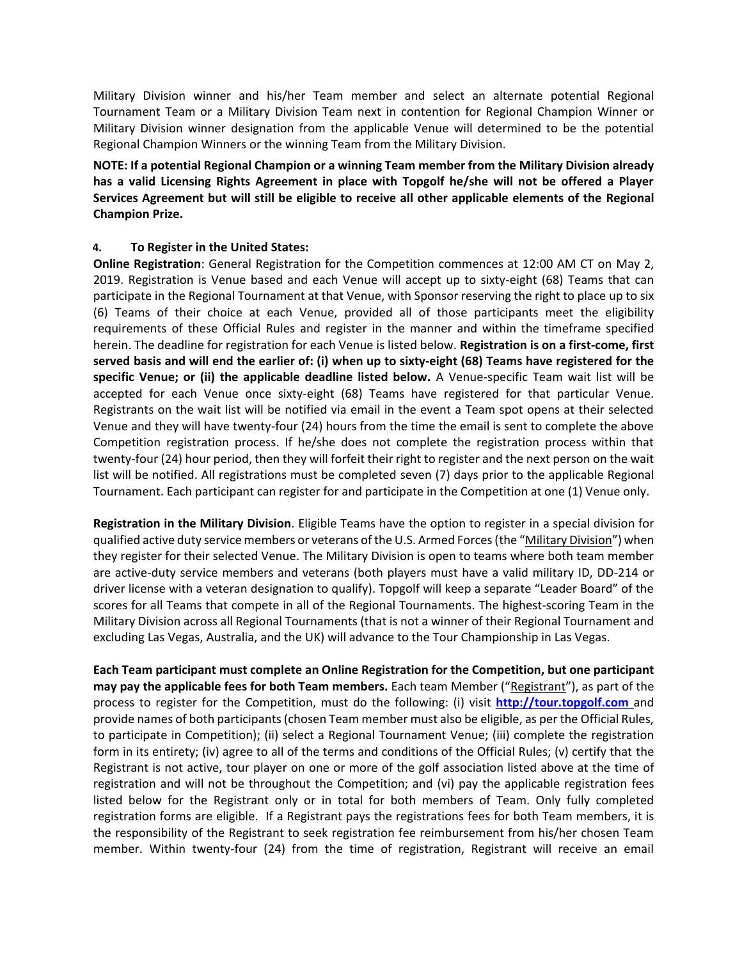Military Division winner and his/her Team member and select an alternate potential Regional Tournament Team or a Military Division Team next in contention for Regional Champion Winner or Military Division winner designation from the applicable Venue will determined to be the potential Regional Champion Winners or the winning Team from the Military Division.

**NOTE: If a potential Regional Champion or a winning Team member from the Military Division already has a valid Licensing Rights Agreement in place with Topgolf he/she will not be offered a Player Services Agreement but will still be eligible to receive all other applicable elements of the Regional Champion Prize.**

# **4. To Register in the United States:**

**Online Registration**: General Registration for the Competition commences at 12:00 AM CT on May 2, 2019. Registration is Venue based and each Venue will accept up to sixty-eight (68) Teams that can participate in the Regional Tournament at that Venue, with Sponsor reserving the right to place up to six (6) Teams of their choice at each Venue, provided all of those participants meet the eligibility requirements of these Official Rules and register in the manner and within the timeframe specified herein. The deadline for registration for each Venue is listed below. **Registration is on a first-come, first served basis and will end the earlier of: (i) when up to sixty-eight (68) Teams have registered for the specific Venue; or (ii) the applicable deadline listed below.** A Venue-specific Team wait list will be accepted for each Venue once sixty-eight (68) Teams have registered for that particular Venue. Registrants on the wait list will be notified via email in the event a Team spot opens at their selected Venue and they will have twenty-four (24) hours from the time the email is sent to complete the above Competition registration process. If he/she does not complete the registration process within that twenty-four (24) hour period, then they will forfeit their right to register and the next person on the wait list will be notified. All registrations must be completed seven (7) days prior to the applicable Regional Tournament. Each participant can register for and participate in the Competition at one (1) Venue only.

**Registration in the Military Division**. Eligible Teams have the option to register in a special division for qualified active duty service members or veterans of the U.S. Armed Forces (the "Military Division") when they register for their selected Venue. The Military Division is open to teams where both team member are active-duty service members and veterans (both players must have a valid military ID, DD-214 or driver license with a veteran designation to qualify). Topgolf will keep a separate "Leader Board" of the scores for all Teams that compete in all of the Regional Tournaments. The highest-scoring Team in the Military Division across all Regional Tournaments (that is not a winner of their Regional Tournament and excluding Las Vegas, Australia, and the UK) will advance to the Tour Championship in Las Vegas.

**Each Team participant must complete an Online Registration for the Competition, but one participant may pay the applicable fees for both Team members.** Each team Member ("Registrant"), as part of the process to register for the Competition, must do the following: (i) visit **[http://tour.topgolf.com](http://tour.topgolf.com/)** and provide names of both participants (chosen Team member must also be eligible, as per the Official Rules, to participate in Competition); (ii) select a Regional Tournament Venue; (iii) complete the registration form in its entirety; (iv) agree to all of the terms and conditions of the Official Rules; (v) certify that the Registrant is not active, tour player on one or more of the golf association listed above at the time of registration and will not be throughout the Competition; and (vi) pay the applicable registration fees listed below for the Registrant only or in total for both members of Team. Only fully completed registration forms are eligible. If a Registrant pays the registrations fees for both Team members, it is the responsibility of the Registrant to seek registration fee reimbursement from his/her chosen Team member. Within twenty-four (24) from the time of registration, Registrant will receive an email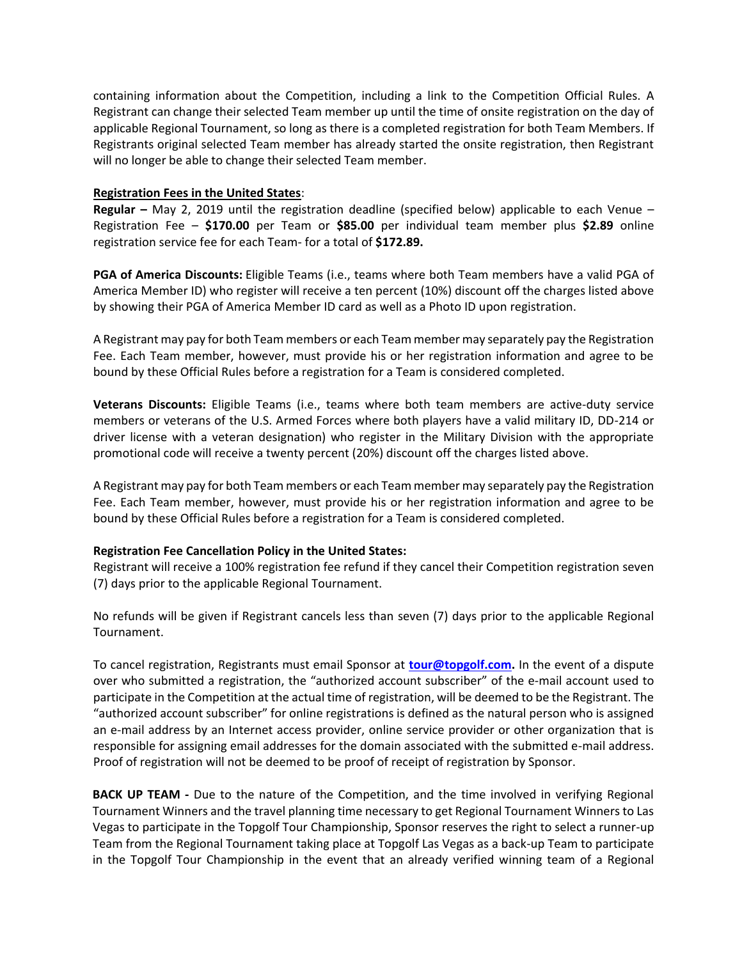containing information about the Competition, including a link to the Competition Official Rules. A Registrant can change their selected Team member up until the time of onsite registration on the day of applicable Regional Tournament, so long as there is a completed registration for both Team Members. If Registrants original selected Team member has already started the onsite registration, then Registrant will no longer be able to change their selected Team member.

#### **Registration Fees in the United States**:

**Regular –** May 2, 2019 until the registration deadline (specified below) applicable to each Venue – Registration Fee – **\$170.00** per Team or **\$85.00** per individual team member plus **\$2.89** online registration service fee for each Team- for a total of **\$172.89.**

**PGA of America Discounts:** Eligible Teams (i.e., teams where both Team members have a valid PGA of America Member ID) who register will receive a ten percent (10%) discount off the charges listed above by showing their PGA of America Member ID card as well as a Photo ID upon registration.

A Registrant may pay for both Team members or each Team member may separately pay the Registration Fee. Each Team member, however, must provide his or her registration information and agree to be bound by these Official Rules before a registration for a Team is considered completed.

**Veterans Discounts:** Eligible Teams (i.e., teams where both team members are active-duty service members or veterans of the U.S. Armed Forces where both players have a valid military ID, DD-214 or driver license with a veteran designation) who register in the Military Division with the appropriate promotional code will receive a twenty percent (20%) discount off the charges listed above.

A Registrant may pay for both Team members or each Team member may separately pay the Registration Fee. Each Team member, however, must provide his or her registration information and agree to be bound by these Official Rules before a registration for a Team is considered completed.

# **Registration Fee Cancellation Policy in the United States:**

Registrant will receive a 100% registration fee refund if they cancel their Competition registration seven (7) days prior to the applicable Regional Tournament.

No refunds will be given if Registrant cancels less than seven (7) days prior to the applicable Regional Tournament.

To cancel registration, Registrants must email Sponsor at **[tour@topgolf.com.](mailto:tour@topgolf.com)** In the event of a dispute over who submitted a registration, the "authorized account subscriber" of the e-mail account used to participate in the Competition at the actual time of registration, will be deemed to be the Registrant. The "authorized account subscriber" for online registrations is defined as the natural person who is assigned an e-mail address by an Internet access provider, online service provider or other organization that is responsible for assigning email addresses for the domain associated with the submitted e-mail address. Proof of registration will not be deemed to be proof of receipt of registration by Sponsor.

**BACK UP TEAM** - Due to the nature of the Competition, and the time involved in verifying Regional Tournament Winners and the travel planning time necessary to get Regional Tournament Winners to Las Vegas to participate in the Topgolf Tour Championship, Sponsor reserves the right to select a runner-up Team from the Regional Tournament taking place at Topgolf Las Vegas as a back-up Team to participate in the Topgolf Tour Championship in the event that an already verified winning team of a Regional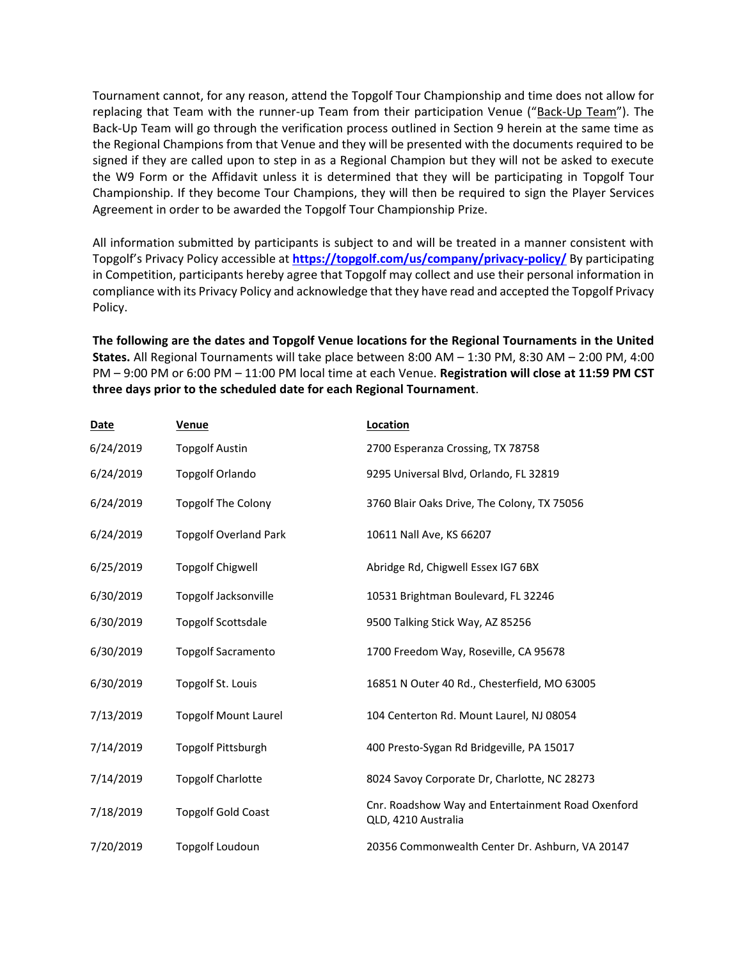Tournament cannot, for any reason, attend the Topgolf Tour Championship and time does not allow for replacing that Team with the runner-up Team from their participation Venue ("Back-Up Team"). The Back-Up Team will go through the verification process outlined in Section 9 herein at the same time as the Regional Champions from that Venue and they will be presented with the documents required to be signed if they are called upon to step in as a Regional Champion but they will not be asked to execute the W9 Form or the Affidavit unless it is determined that they will be participating in Topgolf Tour Championship. If they become Tour Champions, they will then be required to sign the Player Services Agreement in order to be awarded the Topgolf Tour Championship Prize.

All information submitted by participants is subject to and will be treated in a manner consistent with Topgolf's Privacy Policy accessible at **<https://topgolf.com/us/company/privacy-policy/>** By participating in Competition, participants hereby agree that Topgolf may collect and use their personal information in compliance with its Privacy Policy and acknowledge that they have read and accepted the Topgolf Privacy Policy.

**The following are the dates and Topgolf Venue locations for the Regional Tournaments in the United States.** All Regional Tournaments will take place between 8:00 AM – 1:30 PM, 8:30 AM – 2:00 PM, 4:00 PM – 9:00 PM or 6:00 PM – 11:00 PM local time at each Venue. **Registration will close at 11:59 PM CST three days prior to the scheduled date for each Regional Tournament**.

| <b>Date</b> | Venue                        | Location                                                                 |
|-------------|------------------------------|--------------------------------------------------------------------------|
| 6/24/2019   | <b>Topgolf Austin</b>        | 2700 Esperanza Crossing, TX 78758                                        |
| 6/24/2019   | <b>Topgolf Orlando</b>       | 9295 Universal Blvd, Orlando, FL 32819                                   |
| 6/24/2019   | <b>Topgolf The Colony</b>    | 3760 Blair Oaks Drive, The Colony, TX 75056                              |
| 6/24/2019   | <b>Topgolf Overland Park</b> | 10611 Nall Ave, KS 66207                                                 |
| 6/25/2019   | <b>Topgolf Chigwell</b>      | Abridge Rd, Chigwell Essex IG7 6BX                                       |
| 6/30/2019   | <b>Topgolf Jacksonville</b>  | 10531 Brightman Boulevard, FL 32246                                      |
| 6/30/2019   | <b>Topgolf Scottsdale</b>    | 9500 Talking Stick Way, AZ 85256                                         |
| 6/30/2019   | <b>Topgolf Sacramento</b>    | 1700 Freedom Way, Roseville, CA 95678                                    |
| 6/30/2019   | Topgolf St. Louis            | 16851 N Outer 40 Rd., Chesterfield, MO 63005                             |
| 7/13/2019   | <b>Topgolf Mount Laurel</b>  | 104 Centerton Rd. Mount Laurel, NJ 08054                                 |
| 7/14/2019   | Topgolf Pittsburgh           | 400 Presto-Sygan Rd Bridgeville, PA 15017                                |
| 7/14/2019   | <b>Topgolf Charlotte</b>     | 8024 Savoy Corporate Dr, Charlotte, NC 28273                             |
| 7/18/2019   | <b>Topgolf Gold Coast</b>    | Cnr. Roadshow Way and Entertainment Road Oxenford<br>QLD, 4210 Australia |
| 7/20/2019   | Topgolf Loudoun              | 20356 Commonwealth Center Dr. Ashburn, VA 20147                          |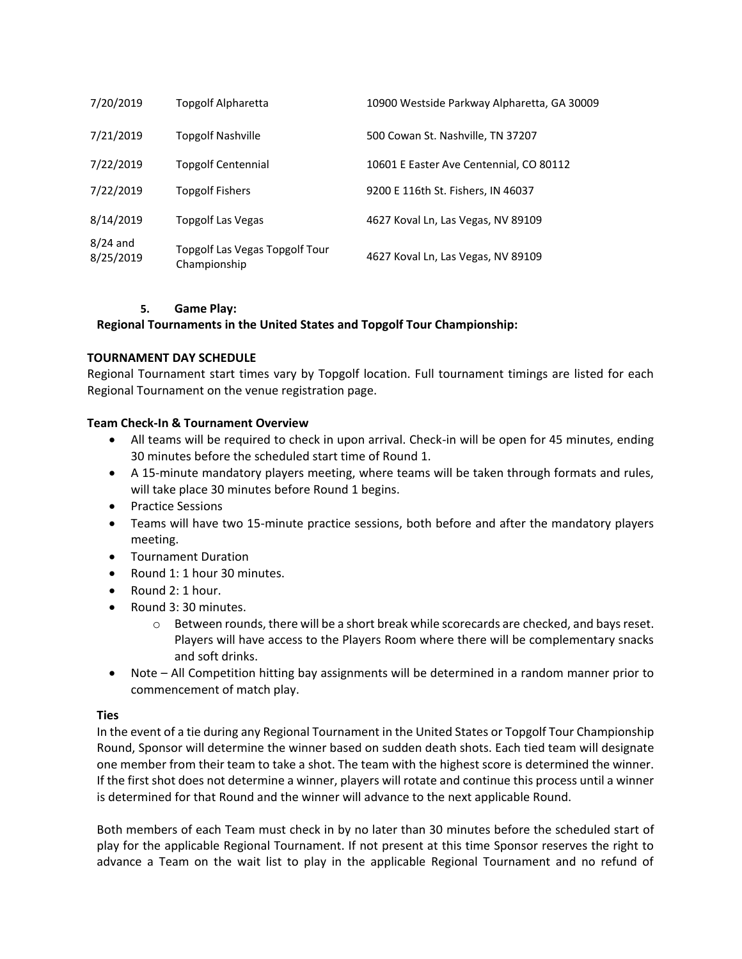| 7/20/2019               | <b>Topgolf Alpharetta</b>                      | 10900 Westside Parkway Alpharetta, GA 30009 |
|-------------------------|------------------------------------------------|---------------------------------------------|
| 7/21/2019               | <b>Topgolf Nashville</b>                       | 500 Cowan St. Nashville, TN 37207           |
| 7/22/2019               | <b>Topgolf Centennial</b>                      | 10601 E Easter Ave Centennial, CO 80112     |
| 7/22/2019               | <b>Topgolf Fishers</b>                         | 9200 E 116th St. Fishers, IN 46037          |
| 8/14/2019               | Topgolf Las Vegas                              | 4627 Koval Ln, Las Vegas, NV 89109          |
| $8/24$ and<br>8/25/2019 | Topgolf Las Vegas Topgolf Tour<br>Championship | 4627 Koval Ln, Las Vegas, NV 89109          |

#### **5. Game Play:**

# **Regional Tournaments in the United States and Topgolf Tour Championship:**

#### **TOURNAMENT DAY SCHEDULE**

Regional Tournament start times vary by Topgolf location. Full tournament timings are listed for each Regional Tournament on the venue registration page.

#### **Team Check-In & Tournament Overview**

- All teams will be required to check in upon arrival. Check-in will be open for 45 minutes, ending 30 minutes before the scheduled start time of Round 1.
- A 15-minute mandatory players meeting, where teams will be taken through formats and rules, will take place 30 minutes before Round 1 begins.
- Practice Sessions
- Teams will have two 15-minute practice sessions, both before and after the mandatory players meeting.
- Tournament Duration
- Round 1: 1 hour 30 minutes.
- Round 2: 1 hour.
- Round 3: 30 minutes.
	- o Between rounds, there will be a short break while scorecards are checked, and bays reset. Players will have access to the Players Room where there will be complementary snacks and soft drinks.
- Note All Competition hitting bay assignments will be determined in a random manner prior to commencement of match play.

# **Ties**

In the event of a tie during any Regional Tournament in the United States or Topgolf Tour Championship Round, Sponsor will determine the winner based on sudden death shots. Each tied team will designate one member from their team to take a shot. The team with the highest score is determined the winner. If the first shot does not determine a winner, players will rotate and continue this process until a winner is determined for that Round and the winner will advance to the next applicable Round.

Both members of each Team must check in by no later than 30 minutes before the scheduled start of play for the applicable Regional Tournament. If not present at this time Sponsor reserves the right to advance a Team on the wait list to play in the applicable Regional Tournament and no refund of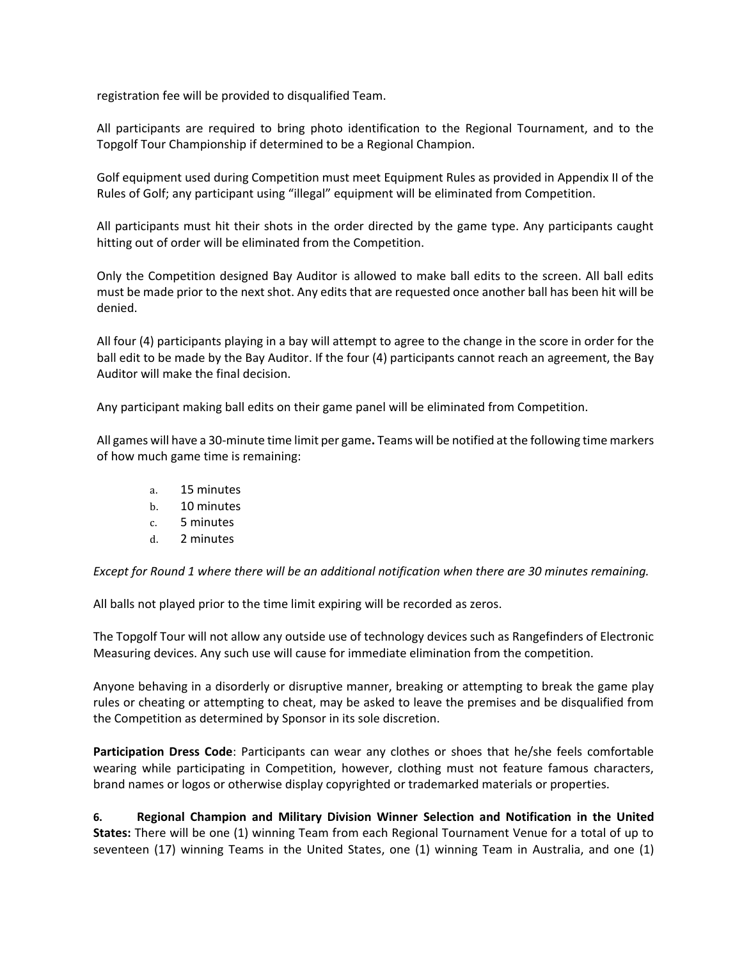registration fee will be provided to disqualified Team.

All participants are required to bring photo identification to the Regional Tournament, and to the Topgolf Tour Championship if determined to be a Regional Champion.

Golf equipment used during Competition must meet Equipment Rules as provided in Appendix II of the Rules of Golf; any participant using "illegal" equipment will be eliminated from Competition.

All participants must hit their shots in the order directed by the game type. Any participants caught hitting out of order will be eliminated from the Competition.

Only the Competition designed Bay Auditor is allowed to make ball edits to the screen. All ball edits must be made prior to the next shot. Any edits that are requested once another ball has been hit will be denied.

All four (4) participants playing in a bay will attempt to agree to the change in the score in order for the ball edit to be made by the Bay Auditor. If the four (4) participants cannot reach an agreement, the Bay Auditor will make the final decision.

Any participant making ball edits on their game panel will be eliminated from Competition.

All games will have a 30-minute time limit per game**.** Teams will be notified at the following time markers of how much game time is remaining:

- a. 15 minutes
- b. 10 minutes
- c. 5 minutes
- d. 2 minutes

*Except for Round 1 where there will be an additional notification when there are 30 minutes remaining.*

All balls not played prior to the time limit expiring will be recorded as zeros.

The Topgolf Tour will not allow any outside use of technology devices such as Rangefinders of Electronic Measuring devices. Any such use will cause for immediate elimination from the competition.

Anyone behaving in a disorderly or disruptive manner, breaking or attempting to break the game play rules or cheating or attempting to cheat, may be asked to leave the premises and be disqualified from the Competition as determined by Sponsor in its sole discretion.

**Participation Dress Code**: Participants can wear any clothes or shoes that he/she feels comfortable wearing while participating in Competition, however, clothing must not feature famous characters, brand names or logos or otherwise display copyrighted or trademarked materials or properties.

**6. Regional Champion and Military Division Winner Selection and Notification in the United States:** There will be one (1) winning Team from each Regional Tournament Venue for a total of up to seventeen (17) winning Teams in the United States, one (1) winning Team in Australia, and one (1)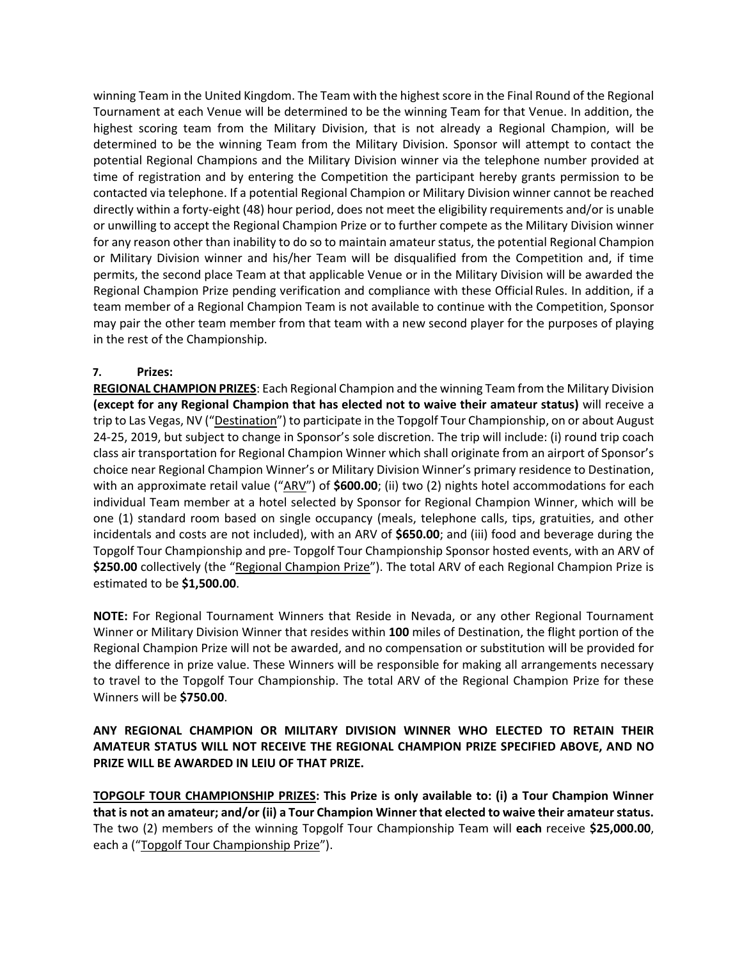winning Team in the United Kingdom. The Team with the highest score in the Final Round of the Regional Tournament at each Venue will be determined to be the winning Team for that Venue. In addition, the highest scoring team from the Military Division, that is not already a Regional Champion, will be determined to be the winning Team from the Military Division. Sponsor will attempt to contact the potential Regional Champions and the Military Division winner via the telephone number provided at time of registration and by entering the Competition the participant hereby grants permission to be contacted via telephone. If a potential Regional Champion or Military Division winner cannot be reached directly within a forty-eight (48) hour period, does not meet the eligibility requirements and/or is unable or unwilling to accept the Regional Champion Prize or to further compete as the Military Division winner for any reason other than inability to do so to maintain amateur status, the potential Regional Champion or Military Division winner and his/her Team will be disqualified from the Competition and, if time permits, the second place Team at that applicable Venue or in the Military Division will be awarded the Regional Champion Prize pending verification and compliance with these Official Rules. In addition, if a team member of a Regional Champion Team is not available to continue with the Competition, Sponsor may pair the other team member from that team with a new second player for the purposes of playing in the rest of the Championship.

# **7. Prizes:**

**REGIONAL CHAMPION PRIZES**: Each Regional Champion and the winning Team from the Military Division **(except for any Regional Champion that has elected not to waive their amateur status)** will receive a trip to Las Vegas, NV ("Destination") to participate in the Topgolf Tour Championship, on or about August 24-25, 2019, but subject to change in Sponsor's sole discretion. The trip will include: (i) round trip coach class air transportation for Regional Champion Winner which shall originate from an airport of Sponsor's choice near Regional Champion Winner's or Military Division Winner's primary residence to Destination, with an approximate retail value ("ARV") of **\$600.00**; (ii) two (2) nights hotel accommodations for each individual Team member at a hotel selected by Sponsor for Regional Champion Winner, which will be one (1) standard room based on single occupancy (meals, telephone calls, tips, gratuities, and other incidentals and costs are not included), with an ARV of **\$650.00**; and (iii) food and beverage during the Topgolf Tour Championship and pre- Topgolf Tour Championship Sponsor hosted events, with an ARV of **\$250.00** collectively (the "Regional Champion Prize"). The total ARV of each Regional Champion Prize is estimated to be **\$1,500.00**.

**NOTE:** For Regional Tournament Winners that Reside in Nevada, or any other Regional Tournament Winner or Military Division Winner that resides within **100** miles of Destination, the flight portion of the Regional Champion Prize will not be awarded, and no compensation or substitution will be provided for the difference in prize value. These Winners will be responsible for making all arrangements necessary to travel to the Topgolf Tour Championship. The total ARV of the Regional Champion Prize for these Winners will be **\$750.00**.

# **ANY REGIONAL CHAMPION OR MILITARY DIVISION WINNER WHO ELECTED TO RETAIN THEIR AMATEUR STATUS WILL NOT RECEIVE THE REGIONAL CHAMPION PRIZE SPECIFIED ABOVE, AND NO PRIZE WILL BE AWARDED IN LEIU OF THAT PRIZE.**

**TOPGOLF TOUR CHAMPIONSHIP PRIZES: This Prize is only available to: (i) a Tour Champion Winner that is not an amateur; and/or (ii) a Tour Champion Winner that elected to waive their amateur status.**  The two (2) members of the winning Topgolf Tour Championship Team will **each** receive **\$25,000.00**, each a ("Topgolf Tour Championship Prize").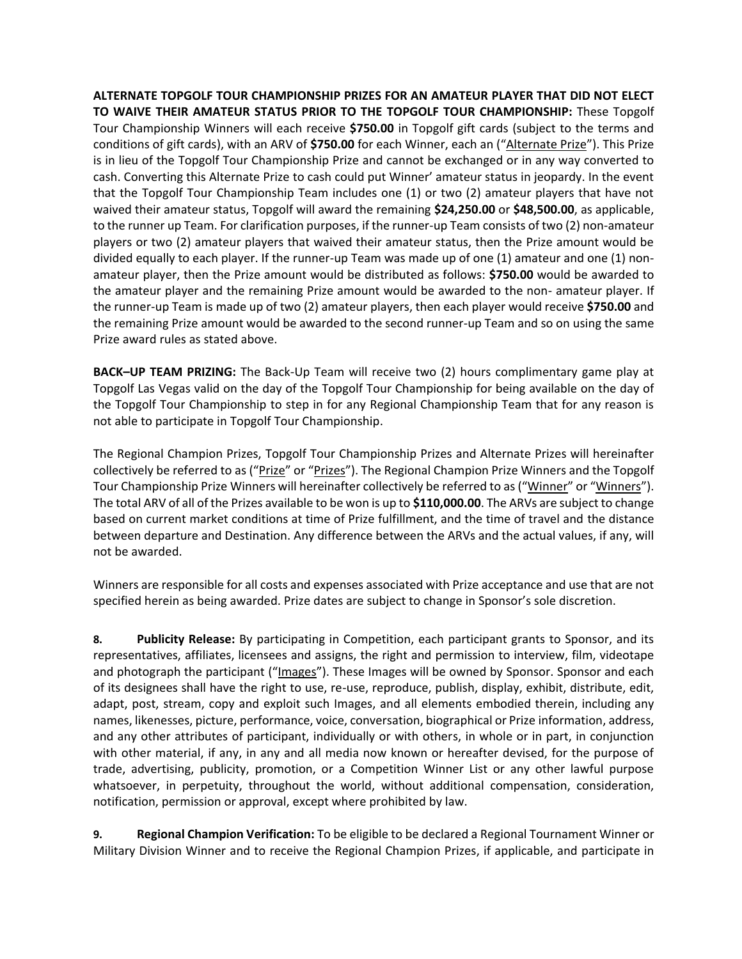**ALTERNATE TOPGOLF TOUR CHAMPIONSHIP PRIZES FOR AN AMATEUR PLAYER THAT DID NOT ELECT TO WAIVE THEIR AMATEUR STATUS PRIOR TO THE TOPGOLF TOUR CHAMPIONSHIP:** These Topgolf Tour Championship Winners will each receive **\$750.00** in Topgolf gift cards (subject to the terms and conditions of gift cards), with an ARV of **\$750.00** for each Winner, each an ("Alternate Prize"). This Prize is in lieu of the Topgolf Tour Championship Prize and cannot be exchanged or in any way converted to cash. Converting this Alternate Prize to cash could put Winner' amateur status in jeopardy. In the event that the Topgolf Tour Championship Team includes one (1) or two (2) amateur players that have not waived their amateur status, Topgolf will award the remaining **\$24,250.00** or **\$48,500.00**, as applicable, to the runner up Team. For clarification purposes, if the runner-up Team consists of two (2) non-amateur players or two (2) amateur players that waived their amateur status, then the Prize amount would be divided equally to each player. If the runner-up Team was made up of one (1) amateur and one (1) nonamateur player, then the Prize amount would be distributed as follows: **\$750.00** would be awarded to the amateur player and the remaining Prize amount would be awarded to the non- amateur player. If the runner-up Team is made up of two (2) amateur players, then each player would receive **\$750.00** and the remaining Prize amount would be awarded to the second runner-up Team and so on using the same Prize award rules as stated above.

**BACK–UP TEAM PRIZING:** The Back-Up Team will receive two (2) hours complimentary game play at Topgolf Las Vegas valid on the day of the Topgolf Tour Championship for being available on the day of the Topgolf Tour Championship to step in for any Regional Championship Team that for any reason is not able to participate in Topgolf Tour Championship.

The Regional Champion Prizes, Topgolf Tour Championship Prizes and Alternate Prizes will hereinafter collectively be referred to as ("Prize" or "Prizes"). The Regional Champion Prize Winners and the Topgolf Tour Championship Prize Winners will hereinafter collectively be referred to as ("Winner" or "Winners"). The total ARV of all of the Prizes available to be won is up to **\$110,000.00**. The ARVs are subject to change based on current market conditions at time of Prize fulfillment, and the time of travel and the distance between departure and Destination. Any difference between the ARVs and the actual values, if any, will not be awarded.

Winners are responsible for all costs and expenses associated with Prize acceptance and use that are not specified herein as being awarded. Prize dates are subject to change in Sponsor's sole discretion.

**8. Publicity Release:** By participating in Competition, each participant grants to Sponsor, and its representatives, affiliates, licensees and assigns, the right and permission to interview, film, videotape and photograph the participant ("Images"). These Images will be owned by Sponsor. Sponsor and each of its designees shall have the right to use, re-use, reproduce, publish, display, exhibit, distribute, edit, adapt, post, stream, copy and exploit such Images, and all elements embodied therein, including any names, likenesses, picture, performance, voice, conversation, biographical or Prize information, address, and any other attributes of participant, individually or with others, in whole or in part, in conjunction with other material, if any, in any and all media now known or hereafter devised, for the purpose of trade, advertising, publicity, promotion, or a Competition Winner List or any other lawful purpose whatsoever, in perpetuity, throughout the world, without additional compensation, consideration, notification, permission or approval, except where prohibited by law.

**9. Regional Champion Verification:** To be eligible to be declared a Regional Tournament Winner or Military Division Winner and to receive the Regional Champion Prizes, if applicable, and participate in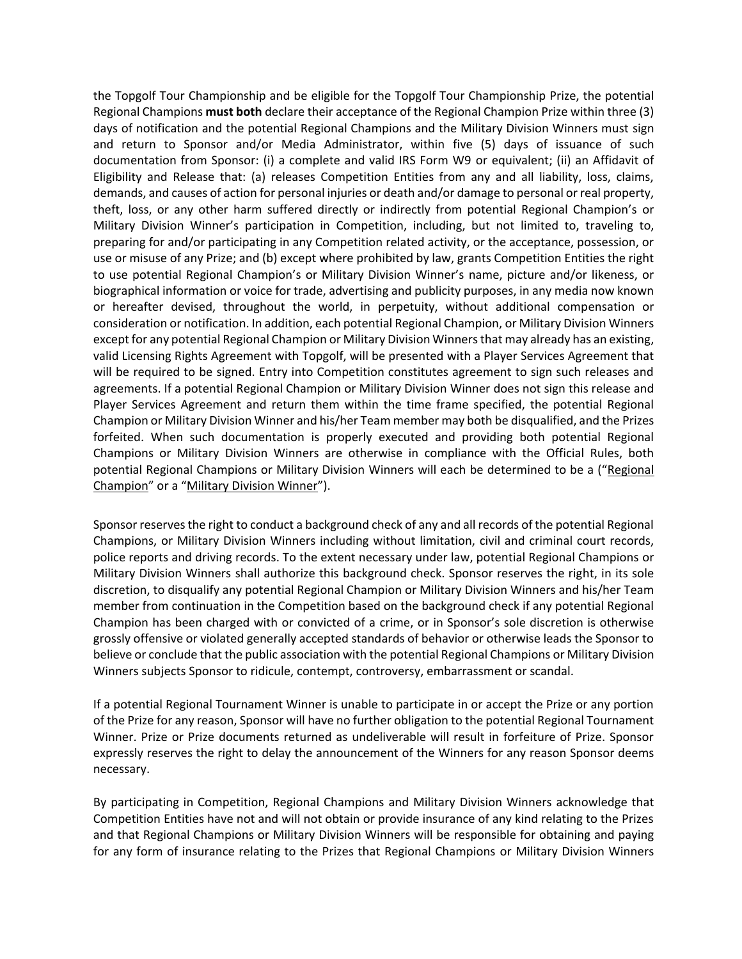the Topgolf Tour Championship and be eligible for the Topgolf Tour Championship Prize, the potential Regional Champions **must both** declare their acceptance of the Regional Champion Prize within three (3) days of notification and the potential Regional Champions and the Military Division Winners must sign and return to Sponsor and/or Media Administrator, within five (5) days of issuance of such documentation from Sponsor: (i) a complete and valid IRS Form W9 or equivalent; (ii) an Affidavit of Eligibility and Release that: (a) releases Competition Entities from any and all liability, loss, claims, demands, and causes of action for personal injuries or death and/or damage to personal or real property, theft, loss, or any other harm suffered directly or indirectly from potential Regional Champion's or Military Division Winner's participation in Competition, including, but not limited to, traveling to, preparing for and/or participating in any Competition related activity, or the acceptance, possession, or use or misuse of any Prize; and (b) except where prohibited by law, grants Competition Entities the right to use potential Regional Champion's or Military Division Winner's name, picture and/or likeness, or biographical information or voice for trade, advertising and publicity purposes, in any media now known or hereafter devised, throughout the world, in perpetuity, without additional compensation or consideration or notification. In addition, each potential Regional Champion, or Military Division Winners except for any potential Regional Champion or Military Division Winners that may already has an existing, valid Licensing Rights Agreement with Topgolf, will be presented with a Player Services Agreement that will be required to be signed. Entry into Competition constitutes agreement to sign such releases and agreements. If a potential Regional Champion or Military Division Winner does not sign this release and Player Services Agreement and return them within the time frame specified, the potential Regional Champion or Military Division Winner and his/her Team member may both be disqualified, and the Prizes forfeited. When such documentation is properly executed and providing both potential Regional Champions or Military Division Winners are otherwise in compliance with the Official Rules, both potential Regional Champions or Military Division Winners will each be determined to be a ("Regional Champion" or a "Military Division Winner").

Sponsor reserves the right to conduct a background check of any and all records of the potential Regional Champions, or Military Division Winners including without limitation, civil and criminal court records, police reports and driving records. To the extent necessary under law, potential Regional Champions or Military Division Winners shall authorize this background check. Sponsor reserves the right, in its sole discretion, to disqualify any potential Regional Champion or Military Division Winners and his/her Team member from continuation in the Competition based on the background check if any potential Regional Champion has been charged with or convicted of a crime, or in Sponsor's sole discretion is otherwise grossly offensive or violated generally accepted standards of behavior or otherwise leads the Sponsor to believe or conclude that the public association with the potential Regional Champions or Military Division Winners subjects Sponsor to ridicule, contempt, controversy, embarrassment or scandal.

If a potential Regional Tournament Winner is unable to participate in or accept the Prize or any portion of the Prize for any reason, Sponsor will have no further obligation to the potential Regional Tournament Winner. Prize or Prize documents returned as undeliverable will result in forfeiture of Prize. Sponsor expressly reserves the right to delay the announcement of the Winners for any reason Sponsor deems necessary.

By participating in Competition, Regional Champions and Military Division Winners acknowledge that Competition Entities have not and will not obtain or provide insurance of any kind relating to the Prizes and that Regional Champions or Military Division Winners will be responsible for obtaining and paying for any form of insurance relating to the Prizes that Regional Champions or Military Division Winners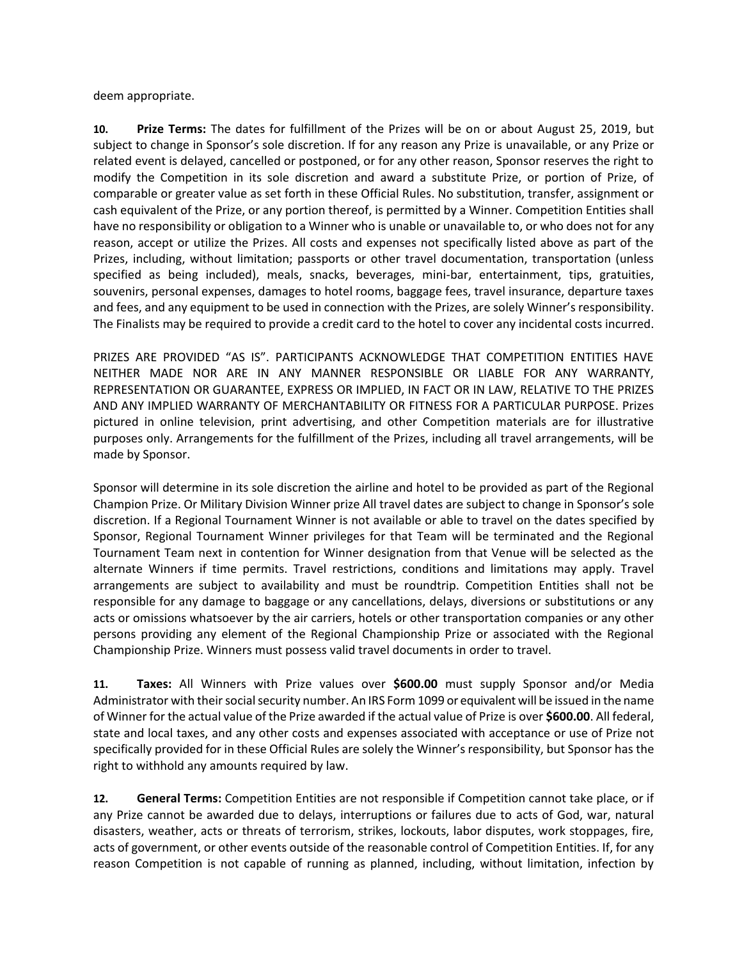deem appropriate.

**10. Prize Terms:** The dates for fulfillment of the Prizes will be on or about August 25, 2019, but subject to change in Sponsor's sole discretion. If for any reason any Prize is unavailable, or any Prize or related event is delayed, cancelled or postponed, or for any other reason, Sponsor reserves the right to modify the Competition in its sole discretion and award a substitute Prize, or portion of Prize, of comparable or greater value as set forth in these Official Rules. No substitution, transfer, assignment or cash equivalent of the Prize, or any portion thereof, is permitted by a Winner. Competition Entities shall have no responsibility or obligation to a Winner who is unable or unavailable to, or who does not for any reason, accept or utilize the Prizes. All costs and expenses not specifically listed above as part of the Prizes, including, without limitation; passports or other travel documentation, transportation (unless specified as being included), meals, snacks, beverages, mini-bar, entertainment, tips, gratuities, souvenirs, personal expenses, damages to hotel rooms, baggage fees, travel insurance, departure taxes and fees, and any equipment to be used in connection with the Prizes, are solely Winner's responsibility. The Finalists may be required to provide a credit card to the hotel to cover any incidental costs incurred.

PRIZES ARE PROVIDED "AS IS". PARTICIPANTS ACKNOWLEDGE THAT COMPETITION ENTITIES HAVE NEITHER MADE NOR ARE IN ANY MANNER RESPONSIBLE OR LIABLE FOR ANY WARRANTY, REPRESENTATION OR GUARANTEE, EXPRESS OR IMPLIED, IN FACT OR IN LAW, RELATIVE TO THE PRIZES AND ANY IMPLIED WARRANTY OF MERCHANTABILITY OR FITNESS FOR A PARTICULAR PURPOSE. Prizes pictured in online television, print advertising, and other Competition materials are for illustrative purposes only. Arrangements for the fulfillment of the Prizes, including all travel arrangements, will be made by Sponsor.

Sponsor will determine in its sole discretion the airline and hotel to be provided as part of the Regional Champion Prize. Or Military Division Winner prize All travel dates are subject to change in Sponsor's sole discretion. If a Regional Tournament Winner is not available or able to travel on the dates specified by Sponsor, Regional Tournament Winner privileges for that Team will be terminated and the Regional Tournament Team next in contention for Winner designation from that Venue will be selected as the alternate Winners if time permits. Travel restrictions, conditions and limitations may apply. Travel arrangements are subject to availability and must be roundtrip. Competition Entities shall not be responsible for any damage to baggage or any cancellations, delays, diversions or substitutions or any acts or omissions whatsoever by the air carriers, hotels or other transportation companies or any other persons providing any element of the Regional Championship Prize or associated with the Regional Championship Prize. Winners must possess valid travel documents in order to travel.

**11. Taxes:** All Winners with Prize values over **\$600.00** must supply Sponsor and/or Media Administrator with their social security number. An IRS Form 1099 or equivalent will be issued in the name of Winner for the actual value of the Prize awarded if the actual value of Prize is over **\$600.00**. All federal, state and local taxes, and any other costs and expenses associated with acceptance or use of Prize not specifically provided for in these Official Rules are solely the Winner's responsibility, but Sponsor has the right to withhold any amounts required by law.

**12. General Terms:** Competition Entities are not responsible if Competition cannot take place, or if any Prize cannot be awarded due to delays, interruptions or failures due to acts of God, war, natural disasters, weather, acts or threats of terrorism, strikes, lockouts, labor disputes, work stoppages, fire, acts of government, or other events outside of the reasonable control of Competition Entities. If, for any reason Competition is not capable of running as planned, including, without limitation, infection by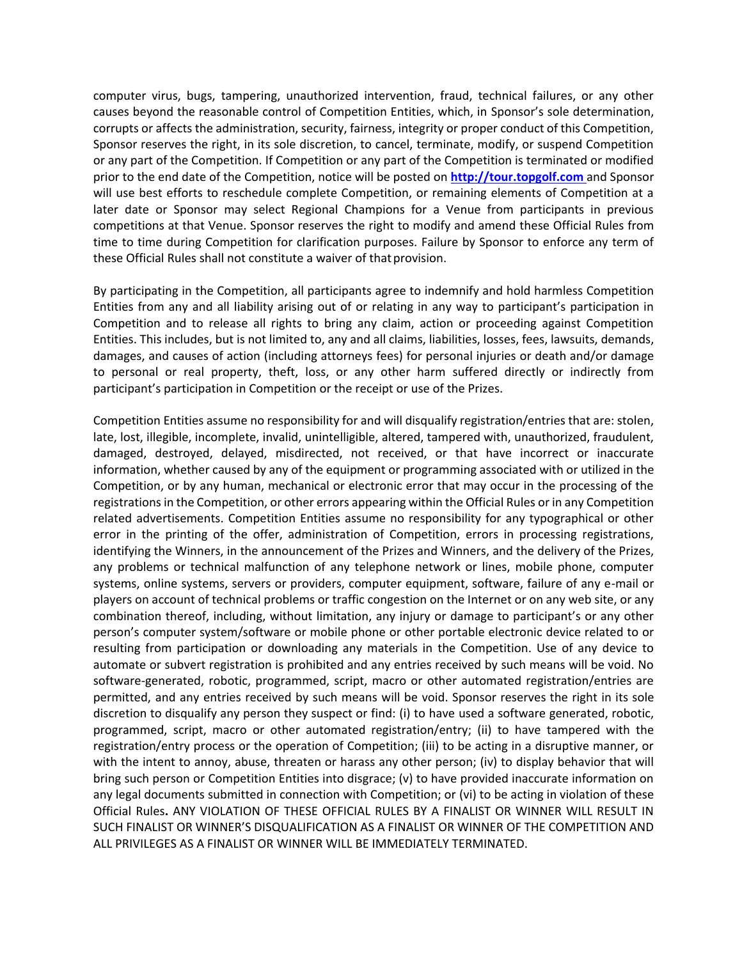computer virus, bugs, tampering, unauthorized intervention, fraud, technical failures, or any other causes beyond the reasonable control of Competition Entities, which, in Sponsor's sole determination, corrupts or affects the administration, security, fairness, integrity or proper conduct of this Competition, Sponsor reserves the right, in its sole discretion, to cancel, terminate, modify, or suspend Competition or any part of the Competition. If Competition or any part of the Competition is terminated or modified prior to the end date of the Competition, notice will be posted on **[http://tour.topgolf.com](http://tour.topgolf.com/)** and Sponsor will use best efforts to reschedule complete Competition, or remaining elements of Competition at a later date or Sponsor may select Regional Champions for a Venue from participants in previous competitions at that Venue. Sponsor reserves the right to modify and amend these Official Rules from time to time during Competition for clarification purposes. Failure by Sponsor to enforce any term of these Official Rules shall not constitute a waiver of that provision.

By participating in the Competition, all participants agree to indemnify and hold harmless Competition Entities from any and all liability arising out of or relating in any way to participant's participation in Competition and to release all rights to bring any claim, action or proceeding against Competition Entities. This includes, but is not limited to, any and all claims, liabilities, losses, fees, lawsuits, demands, damages, and causes of action (including attorneys fees) for personal injuries or death and/or damage to personal or real property, theft, loss, or any other harm suffered directly or indirectly from participant's participation in Competition or the receipt or use of the Prizes.

Competition Entities assume no responsibility for and will disqualify registration/entries that are: stolen, late, lost, illegible, incomplete, invalid, unintelligible, altered, tampered with, unauthorized, fraudulent, damaged, destroyed, delayed, misdirected, not received, or that have incorrect or inaccurate information, whether caused by any of the equipment or programming associated with or utilized in the Competition, or by any human, mechanical or electronic error that may occur in the processing of the registrations in the Competition, or other errors appearing within the Official Rules or in any Competition related advertisements. Competition Entities assume no responsibility for any typographical or other error in the printing of the offer, administration of Competition, errors in processing registrations, identifying the Winners, in the announcement of the Prizes and Winners, and the delivery of the Prizes, any problems or technical malfunction of any telephone network or lines, mobile phone, computer systems, online systems, servers or providers, computer equipment, software, failure of any e-mail or players on account of technical problems or traffic congestion on the Internet or on any web site, or any combination thereof, including, without limitation, any injury or damage to participant's or any other person's computer system/software or mobile phone or other portable electronic device related to or resulting from participation or downloading any materials in the Competition. Use of any device to automate or subvert registration is prohibited and any entries received by such means will be void. No software-generated, robotic, programmed, script, macro or other automated registration/entries are permitted, and any entries received by such means will be void. Sponsor reserves the right in its sole discretion to disqualify any person they suspect or find: (i) to have used a software generated, robotic, programmed, script, macro or other automated registration/entry; (ii) to have tampered with the registration/entry process or the operation of Competition; (iii) to be acting in a disruptive manner, or with the intent to annoy, abuse, threaten or harass any other person; (iv) to display behavior that will bring such person or Competition Entities into disgrace; (v) to have provided inaccurate information on any legal documents submitted in connection with Competition; or (vi) to be acting in violation of these Official Rules**.** ANY VIOLATION OF THESE OFFICIAL RULES BY A FINALIST OR WINNER WILL RESULT IN SUCH FINALIST OR WINNER'S DISQUALIFICATION AS A FINALIST OR WINNER OF THE COMPETITION AND ALL PRIVILEGES AS A FINALIST OR WINNER WILL BE IMMEDIATELY TERMINATED.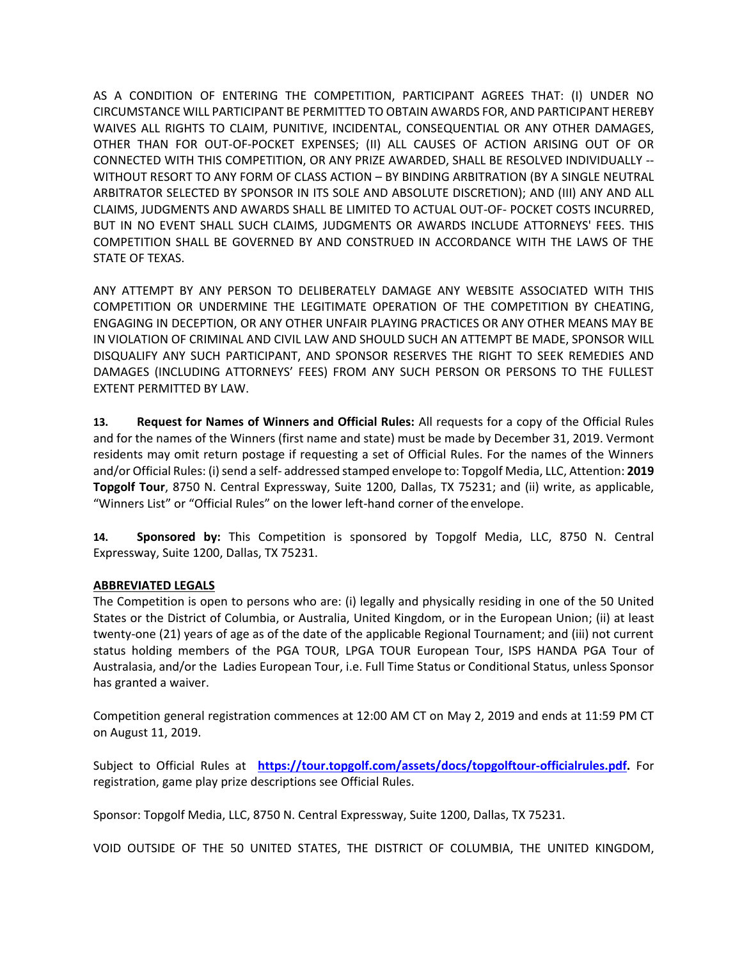AS A CONDITION OF ENTERING THE COMPETITION, PARTICIPANT AGREES THAT: (I) UNDER NO CIRCUMSTANCE WILL PARTICIPANT BE PERMITTED TO OBTAIN AWARDS FOR, AND PARTICIPANT HEREBY WAIVES ALL RIGHTS TO CLAIM, PUNITIVE, INCIDENTAL, CONSEQUENTIAL OR ANY OTHER DAMAGES, OTHER THAN FOR OUT-OF-POCKET EXPENSES; (II) ALL CAUSES OF ACTION ARISING OUT OF OR CONNECTED WITH THIS COMPETITION, OR ANY PRIZE AWARDED, SHALL BE RESOLVED INDIVIDUALLY -- WITHOUT RESORT TO ANY FORM OF CLASS ACTION – BY BINDING ARBITRATION (BY A SINGLE NEUTRAL ARBITRATOR SELECTED BY SPONSOR IN ITS SOLE AND ABSOLUTE DISCRETION); AND (III) ANY AND ALL CLAIMS, JUDGMENTS AND AWARDS SHALL BE LIMITED TO ACTUAL OUT-OF- POCKET COSTS INCURRED, BUT IN NO EVENT SHALL SUCH CLAIMS, JUDGMENTS OR AWARDS INCLUDE ATTORNEYS' FEES. THIS COMPETITION SHALL BE GOVERNED BY AND CONSTRUED IN ACCORDANCE WITH THE LAWS OF THE STATE OF TEXAS.

ANY ATTEMPT BY ANY PERSON TO DELIBERATELY DAMAGE ANY WEBSITE ASSOCIATED WITH THIS COMPETITION OR UNDERMINE THE LEGITIMATE OPERATION OF THE COMPETITION BY CHEATING, ENGAGING IN DECEPTION, OR ANY OTHER UNFAIR PLAYING PRACTICES OR ANY OTHER MEANS MAY BE IN VIOLATION OF CRIMINAL AND CIVIL LAW AND SHOULD SUCH AN ATTEMPT BE MADE, SPONSOR WILL DISQUALIFY ANY SUCH PARTICIPANT, AND SPONSOR RESERVES THE RIGHT TO SEEK REMEDIES AND DAMAGES (INCLUDING ATTORNEYS' FEES) FROM ANY SUCH PERSON OR PERSONS TO THE FULLEST EXTENT PERMITTED BY LAW.

**13. Request for Names of Winners and Official Rules:** All requests for a copy of the Official Rules and for the names of the Winners (first name and state) must be made by December 31, 2019. Vermont residents may omit return postage if requesting a set of Official Rules. For the names of the Winners and/or Official Rules: (i) send a self- addressed stamped envelope to: Topgolf Media, LLC, Attention: **2019 Topgolf Tour**, 8750 N. Central Expressway, Suite 1200, Dallas, TX 75231; and (ii) write, as applicable, "Winners List" or "Official Rules" on the lower left-hand corner of the envelope.

**14. Sponsored by:** This Competition is sponsored by Topgolf Media, LLC, 8750 N. Central Expressway, Suite 1200, Dallas, TX 75231.

# **ABBREVIATED LEGALS**

The Competition is open to persons who are: (i) legally and physically residing in one of the 50 United States or the District of Columbia, or Australia, United Kingdom, or in the European Union; (ii) at least twenty-one (21) years of age as of the date of the applicable Regional Tournament; and (iii) not current status holding members of the PGA TOUR, LPGA TOUR European Tour, ISPS HANDA PGA Tour of Australasia, and/or the Ladies European Tour, i.e. Full Time Status or Conditional Status, unless Sponsor has granted a waiver.

Competition general registration commences at 12:00 AM CT on May 2, 2019 and ends at 11:59 PM CT on August 11, 2019.

Subject to Official Rules at **[https://tour.topgolf.com/assets/docs/topgolftour-officialrules.pdf.](http://tour.topgolf.com/docs/TopgolfTour-OfficialRules.pdf)** For registration, game play prize descriptions see Official Rules.

Sponsor: Topgolf Media, LLC, 8750 N. Central Expressway, Suite 1200, Dallas, TX 75231.

VOID OUTSIDE OF THE 50 UNITED STATES, THE DISTRICT OF COLUMBIA, THE UNITED KINGDOM,